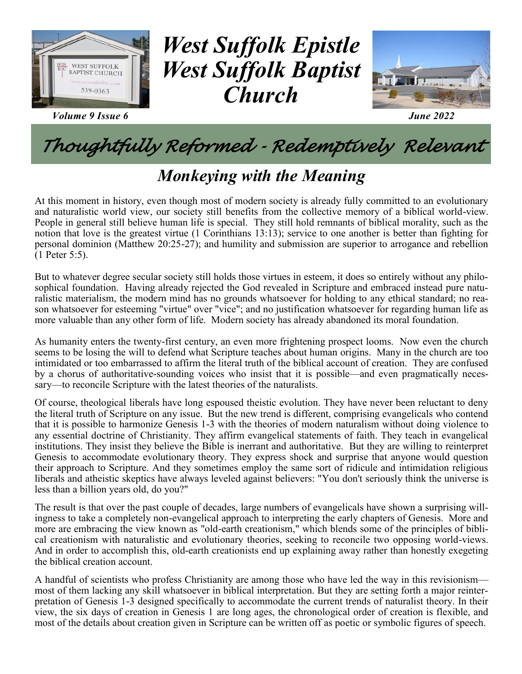

*Volume 9 Issue 6 June 2022*

## *West Suffolk Epistle West Suffolk Baptist Church*



### *Thoughtfully Reformed - Redemptively Relevant*

#### *Monkeying with the Meaning*

At this moment in history, even though most of modern society is already fully committed to an evolutionary and naturalistic world view, our society still benefits from the collective memory of a biblical world-view. People in general still believe human life is special. They still hold remnants of biblical morality, such as the notion that love is the greatest virtue (1 Corinthians 13:13); service to one another is better than fighting for personal dominion (Matthew 20:25-27); and humility and submission are superior to arrogance and rebellion (1 Peter 5:5).

But to whatever degree secular society still holds those virtues in esteem, it does so entirely without any philosophical foundation. Having already rejected the God revealed in Scripture and embraced instead pure naturalistic materialism, the modern mind has no grounds whatsoever for holding to any ethical standard; no reason whatsoever for esteeming "virtue" over "vice"; and no justification whatsoever for regarding human life as more valuable than any other form of life. Modern society has already abandoned its moral foundation.

As humanity enters the twenty-first century, an even more frightening prospect looms. Now even the church seems to be losing the will to defend what Scripture teaches about human origins. Many in the church are too intimidated or too embarrassed to affirm the literal truth of the biblical account of creation. They are confused by a chorus of authoritative-sounding voices who insist that it is possible—and even pragmatically necessary—to reconcile Scripture with the latest theories of the naturalists.

Of course, theological liberals have long espoused theistic evolution. They have never been reluctant to deny the literal truth of Scripture on any issue. But the new trend is different, comprising evangelicals who contend that it is possible to harmonize Genesis 1-3 with the theories of modern naturalism without doing violence to any essential doctrine of Christianity. They affirm evangelical statements of faith. They teach in evangelical institutions. They insist they believe the Bible is inerrant and authoritative. But they are willing to reinterpret Genesis to accommodate evolutionary theory. They express shock and surprise that anyone would question their approach to Scripture. And they sometimes employ the same sort of ridicule and intimidation religious liberals and atheistic skeptics have always leveled against believers: "You don't seriously think the universe is less than a billion years old, do you?"

The result is that over the past couple of decades, large numbers of evangelicals have shown a surprising willingness to take a completely non-evangelical approach to interpreting the early chapters of Genesis. More and more are embracing the view known as "old-earth creationism," which blends some of the principles of biblical creationism with naturalistic and evolutionary theories, seeking to reconcile two opposing world-views. And in order to accomplish this, old-earth creationists end up explaining away rather than honestly exegeting the biblical creation account.

A handful of scientists who profess Christianity are among those who have led the way in this revisionism most of them lacking any skill whatsoever in biblical interpretation. But they are setting forth a major reinterpretation of Genesis 1-3 designed specifically to accommodate the current trends of naturalist theory. In their view, the six days of creation in Genesis 1 are long ages, the chronological order of creation is flexible, and most of the details about creation given in Scripture can be written off as poetic or symbolic figures of speech.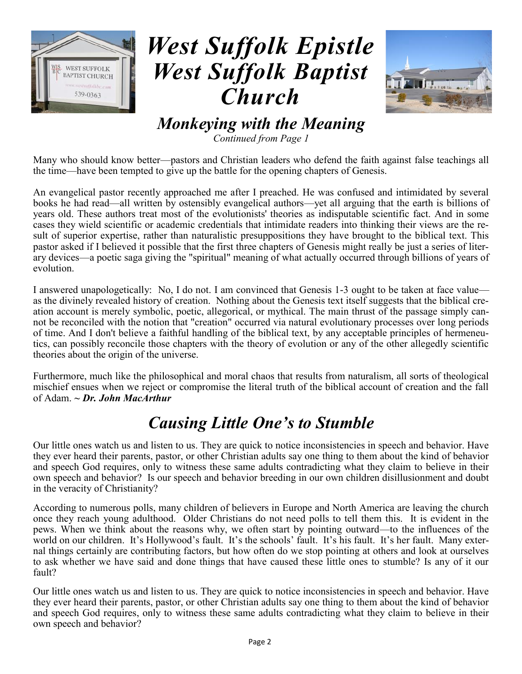



*Monkeying with the Meaning*

*Continued from Page 1*

Many who should know better—pastors and Christian leaders who defend the faith against false teachings all the time—have been tempted to give up the battle for the opening chapters of Genesis.

An evangelical pastor recently approached me after I preached. He was confused and intimidated by several books he had read—all written by ostensibly evangelical authors—yet all arguing that the earth is billions of years old. These authors treat most of the evolutionists' theories as indisputable scientific fact. And in some cases they wield scientific or academic credentials that intimidate readers into thinking their views are the result of superior expertise, rather than naturalistic presuppositions they have brought to the biblical text. This pastor asked if I believed it possible that the first three chapters of Genesis might really be just a series of literary devices—a poetic saga giving the "spiritual" meaning of what actually occurred through billions of years of evolution.

I answered unapologetically: No, I do not. I am convinced that Genesis 1-3 ought to be taken at face value as the divinely revealed history of creation. Nothing about the Genesis text itself suggests that the biblical creation account is merely symbolic, poetic, allegorical, or mythical. The main thrust of the passage simply cannot be reconciled with the notion that "creation" occurred via natural evolutionary processes over long periods of time. And I don't believe a faithful handling of the biblical text, by any acceptable principles of hermeneutics, can possibly reconcile those chapters with the theory of evolution or any of the other allegedly scientific theories about the origin of the universe.

Furthermore, much like the philosophical and moral chaos that results from naturalism, all sorts of theological mischief ensues when we reject or compromise the literal truth of the biblical account of creation and the fall of Adam. *~ Dr. John MacArthur*

### *Causing Little One's to Stumble*

Our little ones watch us and listen to us. They are quick to notice inconsistencies in speech and behavior. Have they ever heard their parents, pastor, or other Christian adults say one thing to them about the kind of behavior and speech God requires, only to witness these same adults contradicting what they claim to believe in their own speech and behavior? Is our speech and behavior breeding in our own children disillusionment and doubt in the veracity of Christianity?

According to numerous polls, many children of believers in Europe and North America are leaving the church once they reach young adulthood. Older Christians do not need polls to tell them this. It is evident in the pews. When we think about the reasons why, we often start by pointing outward—to the influences of the world on our children. It's Hollywood's fault. It's the schools' fault. It's his fault. It's her fault. Many external things certainly are contributing factors, but how often do we stop pointing at others and look at ourselves to ask whether we have said and done things that have caused these little ones to stumble? Is any of it our fault?

Our little ones watch us and listen to us. They are quick to notice inconsistencies in speech and behavior. Have they ever heard their parents, pastor, or other Christian adults say one thing to them about the kind of behavior and speech God requires, only to witness these same adults contradicting what they claim to believe in their own speech and behavior?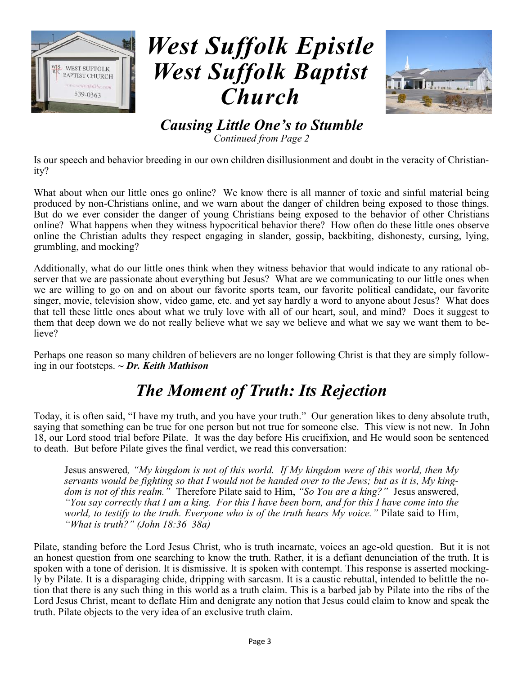



*Causing Little One's to Stumble*

*Continued from Page 2*

Is our speech and behavior breeding in our own children disillusionment and doubt in the veracity of Christianity?

What about when our little ones go online? We know there is all manner of toxic and sinful material being produced by non-Christians online, and we warn about the danger of children being exposed to those things. But do we ever consider the danger of young Christians being exposed to the behavior of other Christians online? What happens when they witness hypocritical behavior there? How often do these little ones observe online the Christian adults they respect engaging in slander, gossip, backbiting, dishonesty, cursing, lying, grumbling, and mocking?

Additionally, what do our little ones think when they witness behavior that would indicate to any rational observer that we are passionate about everything but Jesus? What are we communicating to our little ones when we are willing to go on and on about our favorite sports team, our favorite political candidate, our favorite singer, movie, television show, video game, etc. and yet say hardly a word to anyone about Jesus? What does that tell these little ones about what we truly love with all of our heart, soul, and mind? Does it suggest to them that deep down we do not really believe what we say we believe and what we say we want them to believe?

Perhaps one reason so many children of believers are no longer following Christ is that they are simply following in our footsteps. *~ Dr. Keith Mathison*

### *The Moment of Truth: Its Rejection*

Today, it is often said, "I have my truth, and you have your truth." Our generation likes to deny absolute truth, saying that something can be true for one person but not true for someone else. This view is not new. In John 18, our Lord stood trial before Pilate. It was the day before His crucifixion, and He would soon be sentenced to death. But before Pilate gives the final verdict, we read this conversation:

Jesus answered*, "My kingdom is not of this world. If My kingdom were of this world, then My servants would be fighting so that I would not be handed over to the Jews; but as it is, My kingdom is not of this realm."* Therefore Pilate said to Him, *"So You are a king?"* Jesus answered, *"You say correctly that I am a king. For this I have been born, and for this I have come into the world, to testify to the truth. Everyone who is of the truth hears My voice."* Pilate said to Him, *"What is truth?" (John 18:36–38a)* 

Pilate, standing before the Lord Jesus Christ, who is truth incarnate, voices an age-old question. But it is not an honest question from one searching to know the truth. Rather, it is a defiant denunciation of the truth. It is spoken with a tone of derision. It is dismissive. It is spoken with contempt. This response is asserted mockingly by Pilate. It is a disparaging chide, dripping with sarcasm. It is a caustic rebuttal, intended to belittle the notion that there is any such thing in this world as a truth claim. This is a barbed jab by Pilate into the ribs of the Lord Jesus Christ, meant to deflate Him and denigrate any notion that Jesus could claim to know and speak the truth. Pilate objects to the very idea of an exclusive truth claim.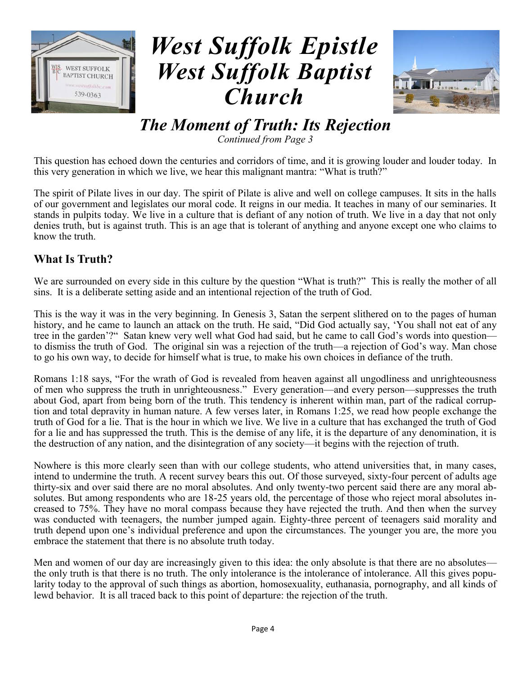



### *The Moment of Truth: Its Rejection*

*Continued from Page 3*

This question has echoed down the centuries and corridors of time, and it is growing louder and louder today. In this very generation in which we live, we hear this malignant mantra: "What is truth?"

The spirit of Pilate lives in our day. The spirit of Pilate is alive and well on college campuses. It sits in the halls of our government and legislates our moral code. It reigns in our media. It teaches in many of our seminaries. It stands in pulpits today. We live in a culture that is defiant of any notion of truth. We live in a day that not only denies truth, but is against truth. This is an age that is tolerant of anything and anyone except one who claims to know the truth.

#### **What Is Truth?**

We are surrounded on every side in this culture by the question "What is truth?" This is really the mother of all sins. It is a deliberate setting aside and an intentional rejection of the truth of God.

This is the way it was in the very beginning. In Genesis 3, Satan the serpent slithered on to the pages of human history, and he came to launch an attack on the truth. He said, "Did God actually say, 'You shall not eat of any tree in the garden'?" Satan knew very well what God had said, but he came to call God's words into question to dismiss the truth of God. The original sin was a rejection of the truth—a rejection of God's way. Man chose to go his own way, to decide for himself what is true, to make his own choices in defiance of the truth.

Romans 1:18 says, "For the wrath of God is revealed from heaven against all ungodliness and unrighteousness of men who suppress the truth in unrighteousness." Every generation—and every person—suppresses the truth about God, apart from being born of the truth. This tendency is inherent within man, part of the radical corruption and total depravity in human nature. A few verses later, in Romans 1:25, we read how people exchange the truth of God for a lie. That is the hour in which we live. We live in a culture that has exchanged the truth of God for a lie and has suppressed the truth. This is the demise of any life, it is the departure of any denomination, it is the destruction of any nation, and the disintegration of any society—it begins with the rejection of truth.

Nowhere is this more clearly seen than with our college students, who attend universities that, in many cases, intend to undermine the truth. A recent survey bears this out. Of those surveyed, sixty-four percent of adults age thirty-six and over said there are no moral absolutes. And only twenty-two percent said there are any moral absolutes. But among respondents who are 18-25 years old, the percentage of those who reject moral absolutes increased to 75%. They have no moral compass because they have rejected the truth. And then when the survey was conducted with teenagers, the number jumped again. Eighty-three percent of teenagers said morality and truth depend upon one's individual preference and upon the circumstances. The younger you are, the more you embrace the statement that there is no absolute truth today.

Men and women of our day are increasingly given to this idea: the only absolute is that there are no absolutes the only truth is that there is no truth. The only intolerance is the intolerance of intolerance. All this gives popularity today to the approval of such things as abortion, homosexuality, euthanasia, pornography, and all kinds of lewd behavior. It is all traced back to this point of departure: the rejection of the truth.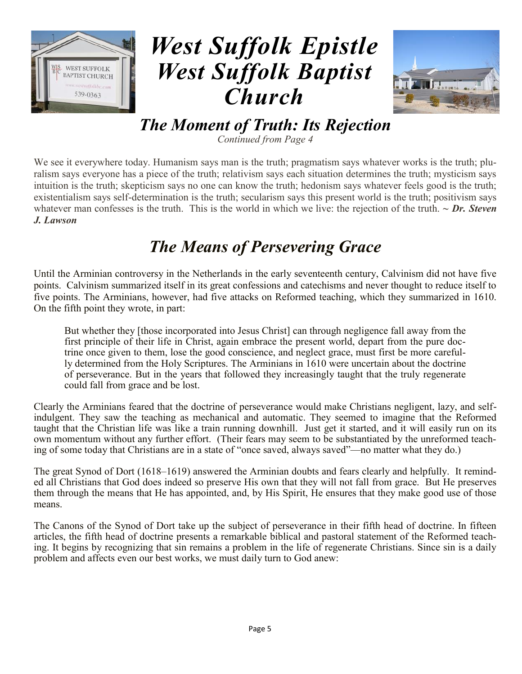



*The Moment of Truth: Its Rejection*

*Continued from Page 4*

We see it everywhere today. Humanism says man is the truth; pragmatism says whatever works is the truth; pluralism says everyone has a piece of the truth; relativism says each situation determines the truth; mysticism says intuition is the truth; skepticism says no one can know the truth; hedonism says whatever feels good is the truth; existentialism says self-determination is the truth; secularism says this present world is the truth; positivism says whatever man confesses is the truth. This is the world in which we live: the rejection of the truth. *~ Dr. Steven J. Lawson*

### *The Means of Persevering Grace*

Until the Arminian controversy in the Netherlands in the early seventeenth century, Calvinism did not have five points. Calvinism summarized itself in its great confessions and catechisms and never thought to reduce itself to five points. The Arminians, however, had five attacks on Reformed teaching, which they summarized in 1610. On the fifth point they wrote, in part:

But whether they [those incorporated into Jesus Christ] can through negligence fall away from the first principle of their life in Christ, again embrace the present world, depart from the pure doctrine once given to them, lose the good conscience, and neglect grace, must first be more carefully determined from the Holy Scriptures. The Arminians in 1610 were uncertain about the doctrine of perseverance. But in the years that followed they increasingly taught that the truly regenerate could fall from grace and be lost.

Clearly the Arminians feared that the doctrine of perseverance would make Christians negligent, lazy, and selfindulgent. They saw the teaching as mechanical and automatic. They seemed to imagine that the Reformed taught that the Christian life was like a train running downhill. Just get it started, and it will easily run on its own momentum without any further effort. (Their fears may seem to be substantiated by the unreformed teaching of some today that Christians are in a state of "once saved, always saved"—no matter what they do.)

The great Synod of Dort (1618–1619) answered the Arminian doubts and fears clearly and helpfully. It reminded all Christians that God does indeed so preserve His own that they will not fall from grace. But He preserves them through the means that He has appointed, and, by His Spirit, He ensures that they make good use of those means.

The Canons of the Synod of Dort take up the subject of perseverance in their fifth head of doctrine. In fifteen articles, the fifth head of doctrine presents a remarkable biblical and pastoral statement of the Reformed teaching. It begins by recognizing that sin remains a problem in the life of regenerate Christians. Since sin is a daily problem and affects even our best works, we must daily turn to God anew: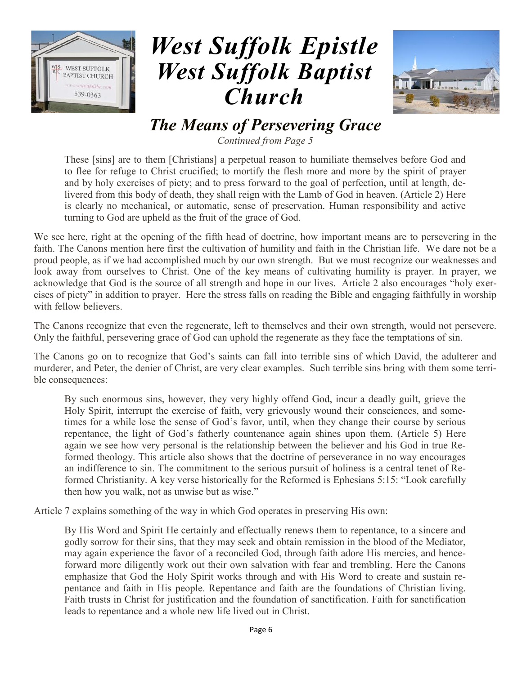



#### *The Means of Persevering Grace*

*Continued from Page 5*

These [sins] are to them [Christians] a perpetual reason to humiliate themselves before God and to flee for refuge to Christ crucified; to mortify the flesh more and more by the spirit of prayer and by holy exercises of piety; and to press forward to the goal of perfection, until at length, delivered from this body of death, they shall reign with the Lamb of God in heaven. (Article 2) Here is clearly no mechanical, or automatic, sense of preservation. Human responsibility and active turning to God are upheld as the fruit of the grace of God.

We see here, right at the opening of the fifth head of doctrine, how important means are to persevering in the faith. The Canons mention here first the cultivation of humility and faith in the Christian life. We dare not be a proud people, as if we had accomplished much by our own strength. But we must recognize our weaknesses and look away from ourselves to Christ. One of the key means of cultivating humility is prayer. In prayer, we acknowledge that God is the source of all strength and hope in our lives. Article 2 also encourages "holy exercises of piety" in addition to prayer. Here the stress falls on reading the Bible and engaging faithfully in worship with fellow believers.

The Canons recognize that even the regenerate, left to themselves and their own strength, would not persevere. Only the faithful, persevering grace of God can uphold the regenerate as they face the temptations of sin.

The Canons go on to recognize that God's saints can fall into terrible sins of which David, the adulterer and murderer, and Peter, the denier of Christ, are very clear examples. Such terrible sins bring with them some terrible consequences:

By such enormous sins, however, they very highly offend God, incur a deadly guilt, grieve the Holy Spirit, interrupt the exercise of faith, very grievously wound their consciences, and sometimes for a while lose the sense of God's favor, until, when they change their course by serious repentance, the light of God's fatherly countenance again shines upon them. (Article 5) Here again we see how very personal is the relationship between the believer and his God in true Reformed theology. This article also shows that the doctrine of perseverance in no way encourages an indifference to sin. The commitment to the serious pursuit of holiness is a central tenet of Reformed Christianity. A key verse historically for the Reformed is Ephesians 5:15: "Look carefully then how you walk, not as unwise but as wise."

Article 7 explains something of the way in which God operates in preserving His own:

By His Word and Spirit He certainly and effectually renews them to repentance, to a sincere and godly sorrow for their sins, that they may seek and obtain remission in the blood of the Mediator, may again experience the favor of a reconciled God, through faith adore His mercies, and henceforward more diligently work out their own salvation with fear and trembling. Here the Canons emphasize that God the Holy Spirit works through and with His Word to create and sustain repentance and faith in His people. Repentance and faith are the foundations of Christian living. Faith trusts in Christ for justification and the foundation of sanctification. Faith for sanctification leads to repentance and a whole new life lived out in Christ.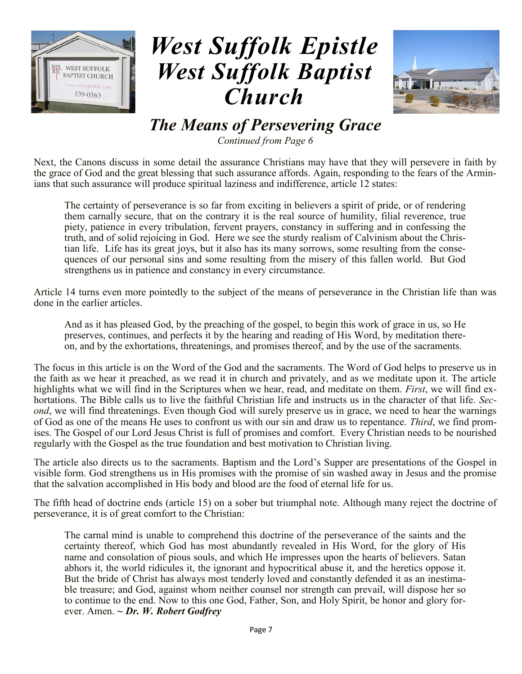



#### *The Means of Persevering Grace*

*Continued from Page 6*

Next, the Canons discuss in some detail the assurance Christians may have that they will persevere in faith by the grace of God and the great blessing that such assurance affords. Again, responding to the fears of the Arminians that such assurance will produce spiritual laziness and indifference, article 12 states:

The certainty of perseverance is so far from exciting in believers a spirit of pride, or of rendering them carnally secure, that on the contrary it is the real source of humility, filial reverence, true piety, patience in every tribulation, fervent prayers, constancy in suffering and in confessing the truth, and of solid rejoicing in God. Here we see the sturdy realism of Calvinism about the Christian life. Life has its great joys, but it also has its many sorrows, some resulting from the consequences of our personal sins and some resulting from the misery of this fallen world. But God strengthens us in patience and constancy in every circumstance.

Article 14 turns even more pointedly to the subject of the means of perseverance in the Christian life than was done in the earlier articles.

And as it has pleased God, by the preaching of the gospel, to begin this work of grace in us, so He preserves, continues, and perfects it by the hearing and reading of His Word, by meditation thereon, and by the exhortations, threatenings, and promises thereof, and by the use of the sacraments.

The focus in this article is on the Word of the God and the sacraments. The Word of God helps to preserve us in the faith as we hear it preached, as we read it in church and privately, and as we meditate upon it. The article highlights what we will find in the Scriptures when we hear, read, and meditate on them. *First*, we will find exhortations. The Bible calls us to live the faithful Christian life and instructs us in the character of that life. *Second*, we will find threatenings. Even though God will surely preserve us in grace, we need to hear the warnings of God as one of the means He uses to confront us with our sin and draw us to repentance. *Third*, we find promises. The Gospel of our Lord Jesus Christ is full of promises and comfort. Every Christian needs to be nourished regularly with the Gospel as the true foundation and best motivation to Christian living.

The article also directs us to the sacraments. Baptism and the Lord's Supper are presentations of the Gospel in visible form. God strengthens us in His promises with the promise of sin washed away in Jesus and the promise that the salvation accomplished in His body and blood are the food of eternal life for us.

The fifth head of doctrine ends (article 15) on a sober but triumphal note. Although many reject the doctrine of perseverance, it is of great comfort to the Christian:

The carnal mind is unable to comprehend this doctrine of the perseverance of the saints and the certainty thereof, which God has most abundantly revealed in His Word, for the glory of His name and consolation of pious souls, and which He impresses upon the hearts of believers. Satan abhors it, the world ridicules it, the ignorant and hypocritical abuse it, and the heretics oppose it. But the bride of Christ has always most tenderly loved and constantly defended it as an inestimable treasure; and God, against whom neither counsel nor strength can prevail, will dispose her so to continue to the end. Now to this one God, Father, Son, and Holy Spirit, be honor and glory forever. Amen. *~ Dr. W. Robert Godfrey*